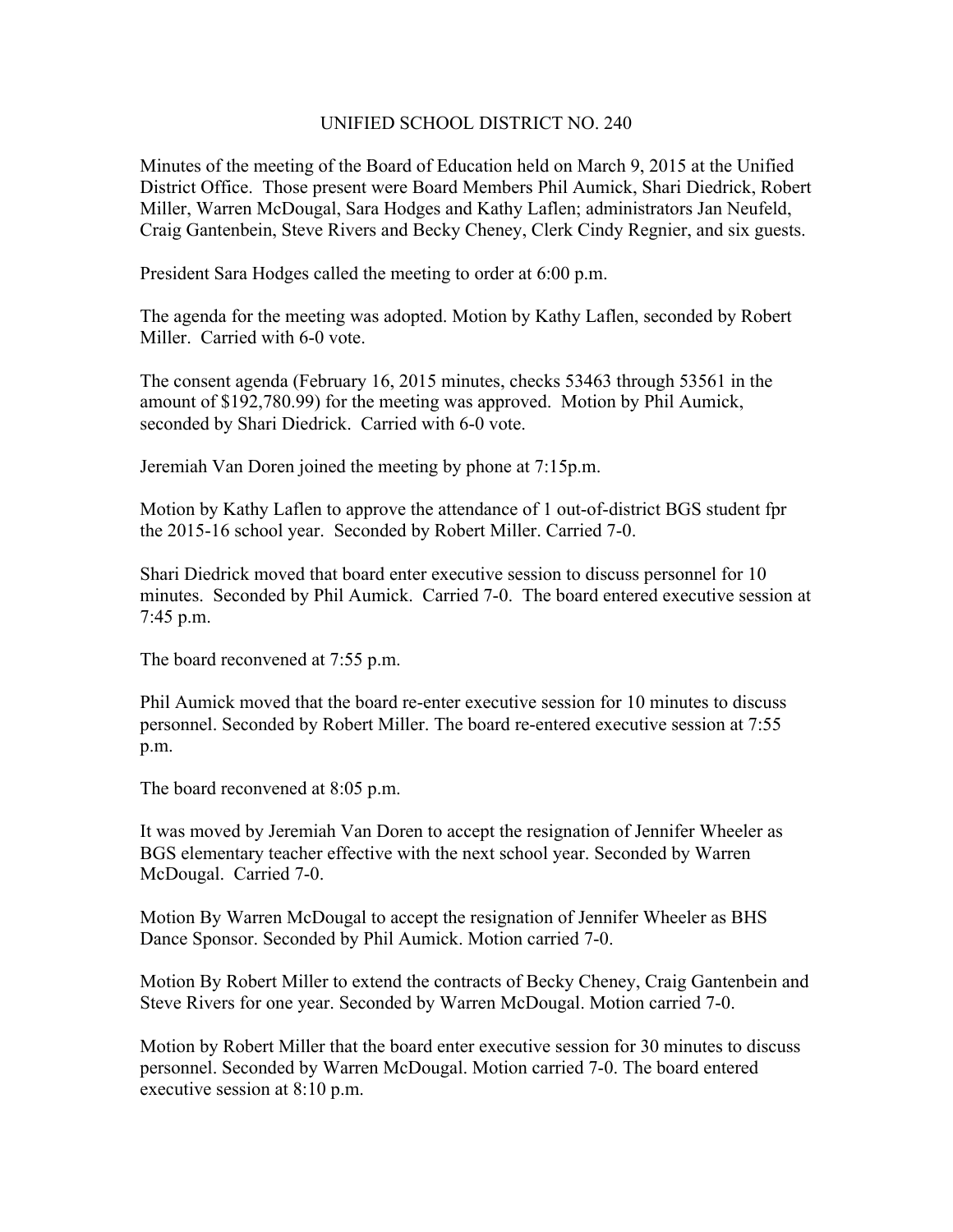## UNIFIED SCHOOL DISTRICT NO. 240

Minutes of the meeting of the Board of Education held on March 9, 2015 at the Unified District Office. Those present were Board Members Phil Aumick, Shari Diedrick, Robert Miller, Warren McDougal, Sara Hodges and Kathy Laflen; administrators Jan Neufeld, Craig Gantenbein, Steve Rivers and Becky Cheney, Clerk Cindy Regnier, and six guests.

President Sara Hodges called the meeting to order at 6:00 p.m.

The agenda for the meeting was adopted. Motion by Kathy Laflen, seconded by Robert Miller. Carried with 6-0 vote.

The consent agenda (February 16, 2015 minutes, checks 53463 through 53561 in the amount of \$192,780.99) for the meeting was approved. Motion by Phil Aumick, seconded by Shari Diedrick. Carried with 6-0 vote.

Jeremiah Van Doren joined the meeting by phone at 7:15p.m.

Motion by Kathy Laflen to approve the attendance of 1 out-of-district BGS student fpr the 2015-16 school year. Seconded by Robert Miller. Carried 7-0.

Shari Diedrick moved that board enter executive session to discuss personnel for 10 minutes. Seconded by Phil Aumick. Carried 7-0. The board entered executive session at 7:45 p.m.

The board reconvened at 7:55 p.m.

Phil Aumick moved that the board re-enter executive session for 10 minutes to discuss personnel. Seconded by Robert Miller. The board re-entered executive session at 7:55 p.m.

The board reconvened at 8:05 p.m.

It was moved by Jeremiah Van Doren to accept the resignation of Jennifer Wheeler as BGS elementary teacher effective with the next school year. Seconded by Warren McDougal. Carried 7-0.

Motion By Warren McDougal to accept the resignation of Jennifer Wheeler as BHS Dance Sponsor. Seconded by Phil Aumick. Motion carried 7-0.

Motion By Robert Miller to extend the contracts of Becky Cheney, Craig Gantenbein and Steve Rivers for one year. Seconded by Warren McDougal. Motion carried 7-0.

Motion by Robert Miller that the board enter executive session for 30 minutes to discuss personnel. Seconded by Warren McDougal. Motion carried 7-0. The board entered executive session at 8:10 p.m.